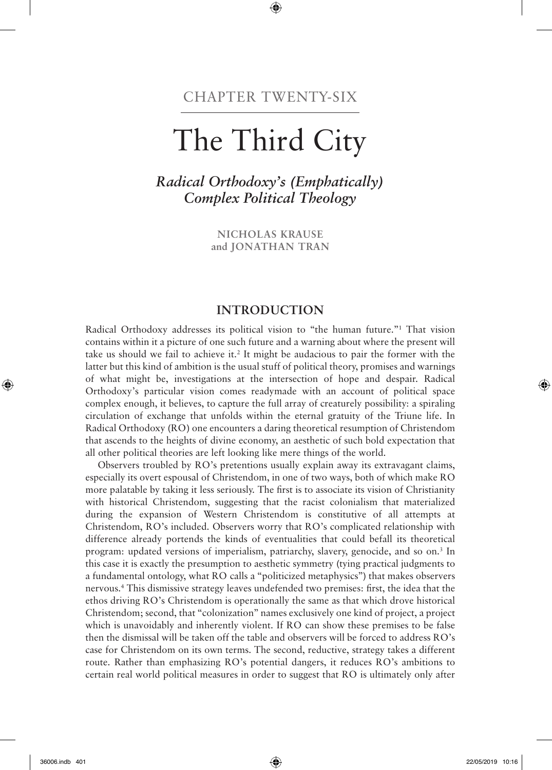# CHAPTER TWENTY-SIX

⊕

# The Third City

*Radical Orthodoxy's (Emphatically) Complex Political Theology*

> **NICHOLAS KRAUSE and JONATHAN TRAN**

# **INTRODUCTION**

Radical Orthodoxy addresses its political vision to "the human future."1 That vision contains within it a picture of one such future and a warning about where the present will take us should we fail to achieve it.<sup>2</sup> It might be audacious to pair the former with the latter but this kind of ambition is the usual stuff of political theory, promises and warnings of what might be, investigations at the intersection of hope and despair. Radical Orthodoxy's particular vision comes readymade with an account of political space complex enough, it believes, to capture the full array of creaturely possibility: a spiraling circulation of exchange that unfolds within the eternal gratuity of the Triune life. In Radical Orthodoxy (RO) one encounters a daring theoretical resumption of Christendom that ascends to the heights of divine economy, an aesthetic of such bold expectation that all other political theories are left looking like mere things of the world.

Observers troubled by RO's pretentions usually explain away its extravagant claims, especially its overt espousal of Christendom, in one of two ways, both of which make RO more palatable by taking it less seriously. The first is to associate its vision of Christianity with historical Christendom, suggesting that the racist colonialism that materialized during the expansion of Western Christendom is constitutive of all attempts at Christendom, RO's included. Observers worry that RO's complicated relationship with difference already portends the kinds of eventualities that could befall its theoretical program: updated versions of imperialism, patriarchy, slavery, genocide, and so on.3 In this case it is exactly the presumption to aesthetic symmetry (tying practical judgments to a fundamental ontology, what RO calls a "politicized metaphysics") that makes observers nervous.4 This dismissive strategy leaves undefended two premises: first, the idea that the ethos driving RO's Christendom is operationally the same as that which drove historical Christendom; second, that "colonization" names exclusively one kind of project, a project which is unavoidably and inherently violent. If RO can show these premises to be false then the dismissal will be taken off the table and observers will be forced to address RO's case for Christendom on its own terms. The second, reductive, strategy takes a different route. Rather than emphasizing RO's potential dangers, it reduces RO's ambitions to certain real world political measures in order to suggest that RO is ultimately only after

⊕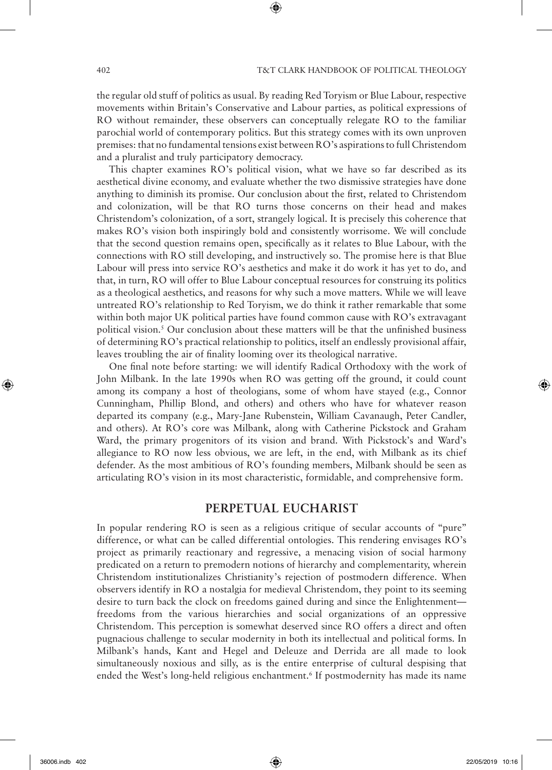the regular old stuff of politics as usual. By reading Red Toryism or Blue Labour, respective movements within Britain's Conservative and Labour parties, as political expressions of RO without remainder, these observers can conceptually relegate RO to the familiar parochial world of contemporary politics. But this strategy comes with its own unproven premises: that no fundamental tensions exist between RO's aspirations to full Christendom and a pluralist and truly participatory democracy.

⊕

This chapter examines RO's political vision, what we have so far described as its aesthetical divine economy, and evaluate whether the two dismissive strategies have done anything to diminish its promise. Our conclusion about the first, related to Christendom and colonization, will be that RO turns those concerns on their head and makes Christendom's colonization, of a sort, strangely logical. It is precisely this coherence that makes RO's vision both inspiringly bold and consistently worrisome. We will conclude that the second question remains open, specifically as it relates to Blue Labour, with the connections with RO still developing, and instructively so. The promise here is that Blue Labour will press into service RO's aesthetics and make it do work it has yet to do, and that, in turn, RO will offer to Blue Labour conceptual resources for construing its politics as a theological aesthetics, and reasons for why such a move matters. While we will leave untreated RO's relationship to Red Toryism, we do think it rather remarkable that some within both major UK political parties have found common cause with RO's extravagant political vision.5 Our conclusion about these matters will be that the unfinished business of determining RO's practical relationship to politics, itself an endlessly provisional affair, leaves troubling the air of finality looming over its theological narrative.

One final note before starting: we will identify Radical Orthodoxy with the work of John Milbank. In the late 1990s when RO was getting off the ground, it could count among its company a host of theologians, some of whom have stayed (e.g., Connor Cunningham, Phillip Blond, and others) and others who have for whatever reason departed its company (e.g., Mary-Jane Rubenstein, William Cavanaugh, Peter Candler, and others). At RO's core was Milbank, along with Catherine Pickstock and Graham Ward, the primary progenitors of its vision and brand. With Pickstock's and Ward's allegiance to RO now less obvious, we are left, in the end, with Milbank as its chief defender. As the most ambitious of RO's founding members, Milbank should be seen as articulating RO's vision in its most characteristic, formidable, and comprehensive form.

# **PERPETUAL EUCHARIST**

In popular rendering RO is seen as a religious critique of secular accounts of "pure" difference, or what can be called differential ontologies. This rendering envisages RO's project as primarily reactionary and regressive, a menacing vision of social harmony predicated on a return to premodern notions of hierarchy and complementarity, wherein Christendom institutionalizes Christianity's rejection of postmodern difference. When observers identify in RO a nostalgia for medieval Christendom, they point to its seeming desire to turn back the clock on freedoms gained during and since the Enlightenment freedoms from the various hierarchies and social organizations of an oppressive Christendom. This perception is somewhat deserved since RO offers a direct and often pugnacious challenge to secular modernity in both its intellectual and political forms. In Milbank's hands, Kant and Hegel and Deleuze and Derrida are all made to look simultaneously noxious and silly, as is the entire enterprise of cultural despising that ended the West's long-held religious enchantment.6 If postmodernity has made its name

⊕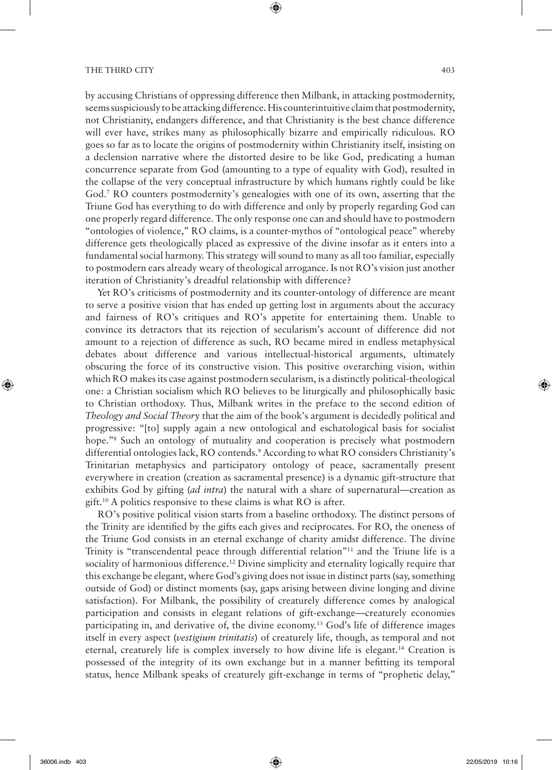by accusing Christians of oppressing difference then Milbank, in attacking postmodernity, seems suspiciously to be attacking difference. His counterintuitive claim that postmodernity, not Christianity, endangers difference, and that Christianity is the best chance difference will ever have, strikes many as philosophically bizarre and empirically ridiculous. RO goes so far as to locate the origins of postmodernity within Christianity itself, insisting on a declension narrative where the distorted desire to be like God, predicating a human concurrence separate from God (amounting to a type of equality with God), resulted in the collapse of the very conceptual infrastructure by which humans rightly could be like God.7 RO counters postmodernity's genealogies with one of its own, asserting that the Triune God has everything to do with difference and only by properly regarding God can one properly regard difference. The only response one can and should have to postmodern "ontologies of violence," RO claims, is a counter-mythos of "ontological peace" whereby difference gets theologically placed as expressive of the divine insofar as it enters into a fundamental social harmony. This strategy will sound to many as all too familiar, especially to postmodern ears already weary of theological arrogance. Is not RO's vision just another iteration of Christianity's dreadful relationship with difference?

⊕

Yet RO's criticisms of postmodernity and its counter-ontology of difference are meant to serve a positive vision that has ended up getting lost in arguments about the accuracy and fairness of RO's critiques and RO's appetite for entertaining them. Unable to convince its detractors that its rejection of secularism's account of difference did not amount to a rejection of difference as such, RO became mired in endless metaphysical debates about difference and various intellectual-historical arguments, ultimately obscuring the force of its constructive vision. This positive overarching vision, within which RO makes its case against postmodern secularism, is a distinctly political-theological one: a Christian socialism which RO believes to be liturgically and philosophically basic to Christian orthodoxy. Thus, Milbank writes in the preface to the second edition of *Theology and Social Theory* that the aim of the book's argument is decidedly political and progressive: "[to] supply again a new ontological and eschatological basis for socialist hope."<sup>8</sup> Such an ontology of mutuality and cooperation is precisely what postmodern differential ontologies lack, RO contends.9 According to what RO considers Christianity's Trinitarian metaphysics and participatory ontology of peace, sacramentally present everywhere in creation (creation as sacramental presence) is a dynamic gift-structure that exhibits God by gifting (*ad intra*) the natural with a share of supernatural—creation as gift.10 A politics responsive to these claims is what RO is after.

RO's positive political vision starts from a baseline orthodoxy. The distinct persons of the Trinity are identified by the gifts each gives and reciprocates. For RO, the oneness of the Triune God consists in an eternal exchange of charity amidst difference. The divine Trinity is "transcendental peace through differential relation"11 and the Triune life is a sociality of harmonious difference.<sup>12</sup> Divine simplicity and eternality logically require that this exchange be elegant, where God's giving does not issue in distinct parts (say, something outside of God) or distinct moments (say, gaps arising between divine longing and divine satisfaction). For Milbank, the possibility of creaturely difference comes by analogical participation and consists in elegant relations of gift-exchange—creaturely economies participating in, and derivative of, the divine economy.13 God's life of difference images itself in every aspect (*vestigium trinitatis*) of creaturely life, though, as temporal and not eternal, creaturely life is complex inversely to how divine life is elegant.14 Creation is possessed of the integrity of its own exchange but in a manner befitting its temporal status, hence Milbank speaks of creaturely gift-exchange in terms of "prophetic delay,"

⊕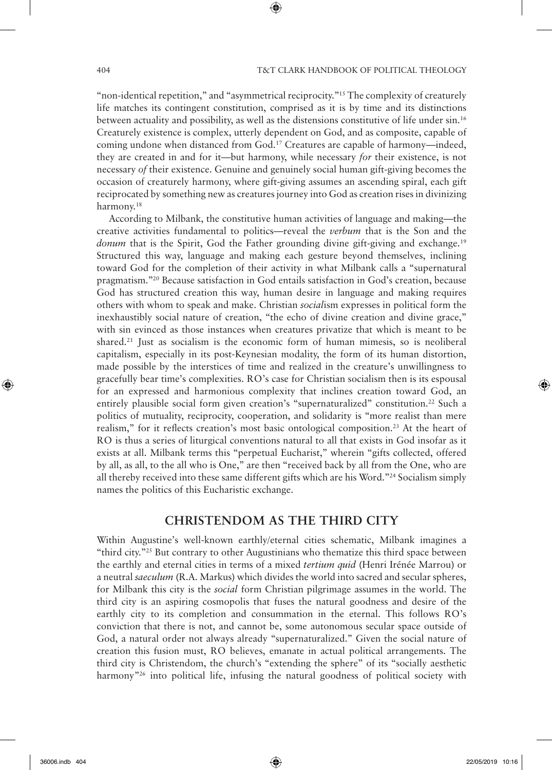"non-identical repetition," and "asymmetrical reciprocity."15 The complexity of creaturely life matches its contingent constitution, comprised as it is by time and its distinctions between actuality and possibility, as well as the distensions constitutive of life under sin.16 Creaturely existence is complex, utterly dependent on God, and as composite, capable of coming undone when distanced from God.17 Creatures are capable of harmony—indeed, they are created in and for it—but harmony, while necessary *for* their existence, is not necessary *of* their existence. Genuine and genuinely social human gift-giving becomes the occasion of creaturely harmony, where gift-giving assumes an ascending spiral, each gift reciprocated by something new as creatures journey into God as creation rises in divinizing harmony.<sup>18</sup>

⊕

According to Milbank, the constitutive human activities of language and making—the creative activities fundamental to politics—reveal the *verbum* that is the Son and the *donum* that is the Spirit, God the Father grounding divine gift-giving and exchange.<sup>19</sup> Structured this way, language and making each gesture beyond themselves, inclining toward God for the completion of their activity in what Milbank calls a "supernatural pragmatism."20 Because satisfaction in God entails satisfaction in God's creation, because God has structured creation this way, human desire in language and making requires others with whom to speak and make. Christian *social*ism expresses in political form the inexhaustibly social nature of creation, "the echo of divine creation and divine grace," with sin evinced as those instances when creatures privatize that which is meant to be shared.21 Just as socialism is the economic form of human mimesis, so is neoliberal capitalism, especially in its post-Keynesian modality, the form of its human distortion, made possible by the interstices of time and realized in the creature's unwillingness to gracefully bear time's complexities. RO's case for Christian socialism then is its espousal for an expressed and harmonious complexity that inclines creation toward God, an entirely plausible social form given creation's "supernaturalized" constitution.<sup>22</sup> Such a politics of mutuality, reciprocity, cooperation, and solidarity is "more realist than mere realism," for it reflects creation's most basic ontological composition.<sup>23</sup> At the heart of RO is thus a series of liturgical conventions natural to all that exists in God insofar as it exists at all. Milbank terms this "perpetual Eucharist," wherein "gifts collected, offered by all, as all, to the all who is One," are then "received back by all from the One, who are all thereby received into these same different gifts which are his Word."24 Socialism simply names the politics of this Eucharistic exchange.

# **CHRISTENDOM AS THE THIRD CITY**

Within Augustine's well-known earthly/eternal cities schematic, Milbank imagines a "third city."25 But contrary to other Augustinians who thematize this third space between the earthly and eternal cities in terms of a mixed *tertium quid* (Henri Irénée Marrou) or a neutral *saeculum* (R.A. Markus) which divides the world into sacred and secular spheres, for Milbank this city is the *social* form Christian pilgrimage assumes in the world. The third city is an aspiring cosmopolis that fuses the natural goodness and desire of the earthly city to its completion and consummation in the eternal. This follows RO's conviction that there is not, and cannot be, some autonomous secular space outside of God, a natural order not always already "supernaturalized." Given the social nature of creation this fusion must, RO believes, emanate in actual political arrangements. The third city is Christendom, the church's "extending the sphere" of its "socially aesthetic harmony"<sup>26</sup> into political life, infusing the natural goodness of political society with

⊕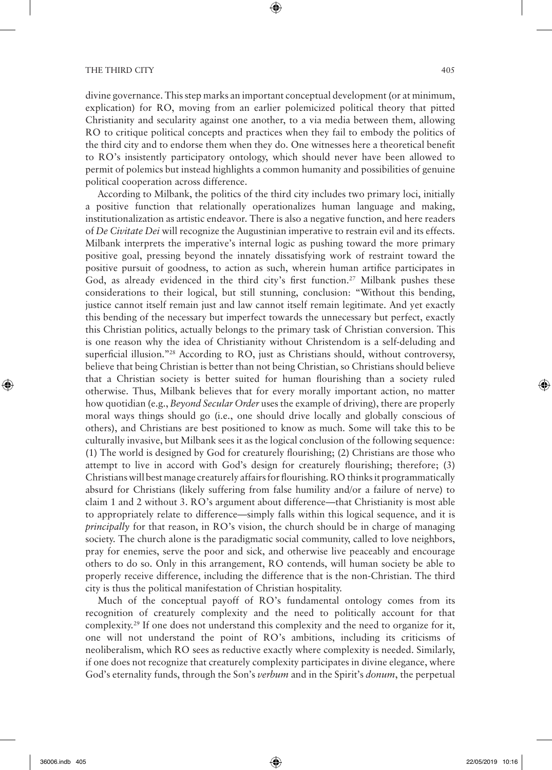divine governance. This step marks an important conceptual development (or at minimum, explication) for RO, moving from an earlier polemicized political theory that pitted Christianity and secularity against one another, to a via media between them, allowing RO to critique political concepts and practices when they fail to embody the politics of the third city and to endorse them when they do. One witnesses here a theoretical benefit

to RO's insistently participatory ontology, which should never have been allowed to permit of polemics but instead highlights a common humanity and possibilities of genuine political cooperation across difference. According to Milbank, the politics of the third city includes two primary loci, initially

⊕

a positive function that relationally operationalizes human language and making, institutionalization as artistic endeavor. There is also a negative function, and here readers of *De Civitate Dei* will recognize the Augustinian imperative to restrain evil and its effects. Milbank interprets the imperative's internal logic as pushing toward the more primary positive goal, pressing beyond the innately dissatisfying work of restraint toward the positive pursuit of goodness, to action as such, wherein human artifice participates in God, as already evidenced in the third city's first function.<sup>27</sup> Milbank pushes these considerations to their logical, but still stunning, conclusion: "Without this bending, justice cannot itself remain just and law cannot itself remain legitimate. And yet exactly this bending of the necessary but imperfect towards the unnecessary but perfect, exactly this Christian politics, actually belongs to the primary task of Christian conversion. This is one reason why the idea of Christianity without Christendom is a self-deluding and superficial illusion."28 According to RO, just as Christians should, without controversy, believe that being Christian is better than not being Christian, so Christians should believe that a Christian society is better suited for human flourishing than a society ruled otherwise. Thus, Milbank believes that for every morally important action, no matter how quotidian (e.g., *Beyond Secular Order* uses the example of driving), there are properly moral ways things should go (i.e., one should drive locally and globally conscious of others), and Christians are best positioned to know as much. Some will take this to be culturally invasive, but Milbank sees it as the logical conclusion of the following sequence: (1) The world is designed by God for creaturely flourishing; (2) Christians are those who attempt to live in accord with God's design for creaturely flourishing; therefore; (3) Christians will best manage creaturely affairs for flourishing. RO thinks it programmatically absurd for Christians (likely suffering from false humility and/or a failure of nerve) to claim 1 and 2 without 3. RO's argument about difference—that Christianity is most able to appropriately relate to difference—simply falls within this logical sequence, and it is *principally* for that reason, in RO's vision, the church should be in charge of managing society. The church alone is the paradigmatic social community, called to love neighbors, pray for enemies, serve the poor and sick, and otherwise live peaceably and encourage others to do so. Only in this arrangement, RO contends, will human society be able to properly receive difference, including the difference that is the non-Christian. The third city is thus the political manifestation of Christian hospitality.

Much of the conceptual payoff of RO's fundamental ontology comes from its recognition of creaturely complexity and the need to politically account for that complexity.29 If one does not understand this complexity and the need to organize for it, one will not understand the point of RO's ambitions, including its criticisms of neoliberalism, which RO sees as reductive exactly where complexity is needed. Similarly, if one does not recognize that creaturely complexity participates in divine elegance, where God's eternality funds, through the Son's *verbum* and in the Spirit's *donum*, the perpetual

⊕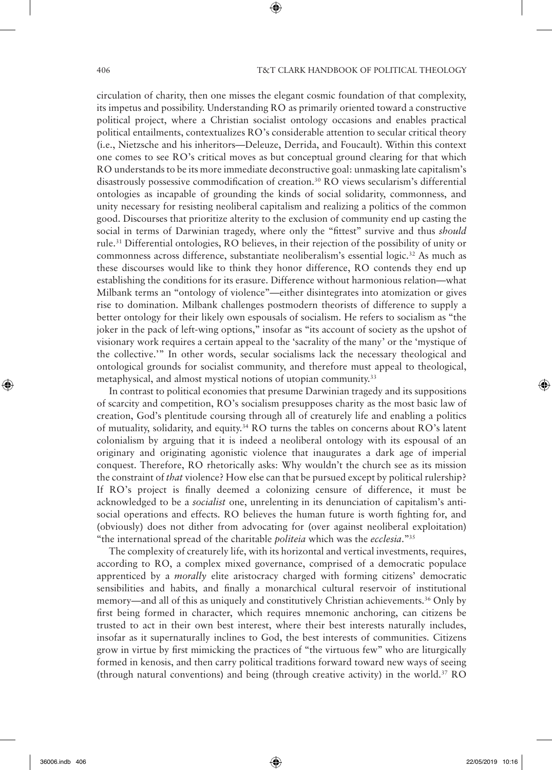circulation of charity, then one misses the elegant cosmic foundation of that complexity, its impetus and possibility. Understanding RO as primarily oriented toward a constructive political project, where a Christian socialist ontology occasions and enables practical political entailments, contextualizes RO's considerable attention to secular critical theory (i.e., Nietzsche and his inheritors—Deleuze, Derrida, and Foucault). Within this context one comes to see RO's critical moves as but conceptual ground clearing for that which RO understands to be its more immediate deconstructive goal: unmasking late capitalism's disastrously possessive commodification of creation.30 RO views secularism's differential ontologies as incapable of grounding the kinds of social solidarity, commonness, and unity necessary for resisting neoliberal capitalism and realizing a politics of the common good. Discourses that prioritize alterity to the exclusion of community end up casting the social in terms of Darwinian tragedy, where only the "fittest" survive and thus *should* rule.31 Differential ontologies, RO believes, in their rejection of the possibility of unity or commonness across difference, substantiate neoliberalism's essential logic.32 As much as these discourses would like to think they honor difference, RO contends they end up establishing the conditions for its erasure. Difference without harmonious relation—what Milbank terms an "ontology of violence"—either disintegrates into atomization or gives rise to domination. Milbank challenges postmodern theorists of difference to supply a better ontology for their likely own espousals of socialism. He refers to socialism as "the joker in the pack of left-wing options," insofar as "its account of society as the upshot of visionary work requires a certain appeal to the 'sacrality of the many' or the 'mystique of the collective.'" In other words, secular socialisms lack the necessary theological and ontological grounds for socialist community, and therefore must appeal to theological, metaphysical, and almost mystical notions of utopian community.33

⊕

In contrast to political economies that presume Darwinian tragedy and its suppositions of scarcity and competition, RO's socialism presupposes charity as the most basic law of creation, God's plentitude coursing through all of creaturely life and enabling a politics of mutuality, solidarity, and equity.34 RO turns the tables on concerns about RO's latent colonialism by arguing that it is indeed a neoliberal ontology with its espousal of an originary and originating agonistic violence that inaugurates a dark age of imperial conquest. Therefore, RO rhetorically asks: Why wouldn't the church see as its mission the constraint of *that* violence? How else can that be pursued except by political rulership? If RO's project is finally deemed a colonizing censure of difference, it must be acknowledged to be a *socialist* one, unrelenting in its denunciation of capitalism's antisocial operations and effects. RO believes the human future is worth fighting for, and (obviously) does not dither from advocating for (over against neoliberal exploitation) "the international spread of the charitable *politeia* which was the *ecclesia*."35

The complexity of creaturely life, with its horizontal and vertical investments, requires, according to RO, a complex mixed governance, comprised of a democratic populace apprenticed by a *morally* elite aristocracy charged with forming citizens' democratic sensibilities and habits, and finally a monarchical cultural reservoir of institutional memory—and all of this as uniquely and constitutively Christian achievements.<sup>36</sup> Only by first being formed in character, which requires mnemonic anchoring, can citizens be trusted to act in their own best interest, where their best interests naturally includes, insofar as it supernaturally inclines to God, the best interests of communities. Citizens grow in virtue by first mimicking the practices of "the virtuous few" who are liturgically formed in kenosis, and then carry political traditions forward toward new ways of seeing (through natural conventions) and being (through creative activity) in the world. $37$  RO

⊕

⊕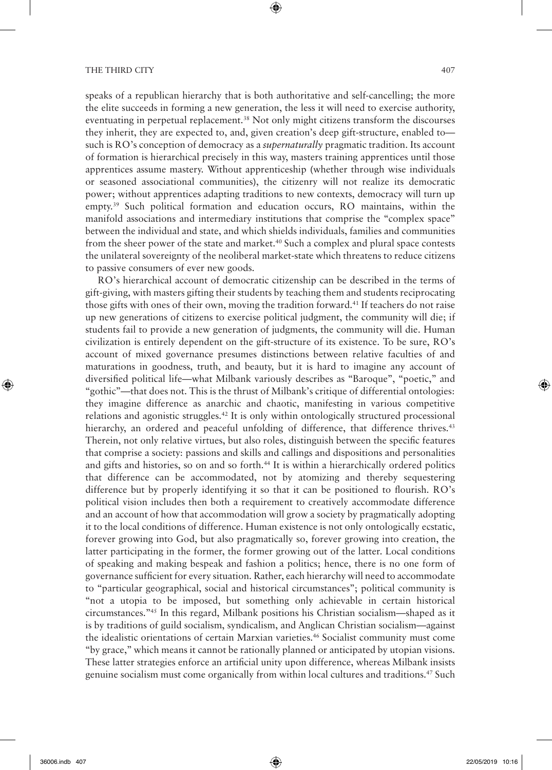speaks of a republican hierarchy that is both authoritative and self-cancelling; the more the elite succeeds in forming a new generation, the less it will need to exercise authority, eventuating in perpetual replacement.38 Not only might citizens transform the discourses they inherit, they are expected to, and, given creation's deep gift-structure, enabled to such is RO's conception of democracy as a *supernaturally* pragmatic tradition. Its account of formation is hierarchical precisely in this way, masters training apprentices until those apprentices assume mastery. Without apprenticeship (whether through wise individuals or seasoned associational communities), the citizenry will not realize its democratic power; without apprentices adapting traditions to new contexts, democracy will turn up empty.39 Such political formation and education occurs, RO maintains, within the manifold associations and intermediary institutions that comprise the "complex space" between the individual and state, and which shields individuals, families and communities from the sheer power of the state and market.40 Such a complex and plural space contests the unilateral sovereignty of the neoliberal market-state which threatens to reduce citizens to passive consumers of ever new goods.

⊕

RO's hierarchical account of democratic citizenship can be described in the terms of gift-giving, with masters gifting their students by teaching them and students reciprocating those gifts with ones of their own, moving the tradition forward.41 If teachers do not raise up new generations of citizens to exercise political judgment, the community will die; if students fail to provide a new generation of judgments, the community will die. Human civilization is entirely dependent on the gift-structure of its existence. To be sure, RO's account of mixed governance presumes distinctions between relative faculties of and maturations in goodness, truth, and beauty, but it is hard to imagine any account of diversified political life—what Milbank variously describes as "Baroque", "poetic," and "gothic"—that does not. This is the thrust of Milbank's critique of differential ontologies: they imagine difference as anarchic and chaotic, manifesting in various competitive relations and agonistic struggles.42 It is only within ontologically structured processional hierarchy, an ordered and peaceful unfolding of difference, that difference thrives.<sup>43</sup> Therein, not only relative virtues, but also roles, distinguish between the specific features that comprise a society: passions and skills and callings and dispositions and personalities and gifts and histories, so on and so forth.44 It is within a hierarchically ordered politics that difference can be accommodated, not by atomizing and thereby sequestering difference but by properly identifying it so that it can be positioned to flourish. RO's political vision includes then both a requirement to creatively accommodate difference and an account of how that accommodation will grow a society by pragmatically adopting it to the local conditions of difference. Human existence is not only ontologically ecstatic, forever growing into God, but also pragmatically so, forever growing into creation, the latter participating in the former, the former growing out of the latter. Local conditions of speaking and making bespeak and fashion a politics; hence, there is no one form of governance sufficient for every situation. Rather, each hierarchy will need to accommodate to "particular geographical, social and historical circumstances"; political community is "not a utopia to be imposed, but something only achievable in certain historical circumstances."45 In this regard, Milbank positions his Christian socialism—shaped as it is by traditions of guild socialism, syndicalism, and Anglican Christian socialism—against the idealistic orientations of certain Marxian varieties.<sup>46</sup> Socialist community must come "by grace," which means it cannot be rationally planned or anticipated by utopian visions. These latter strategies enforce an artificial unity upon difference, whereas Milbank insists genuine socialism must come organically from within local cultures and traditions.47 Such

⊕

⊕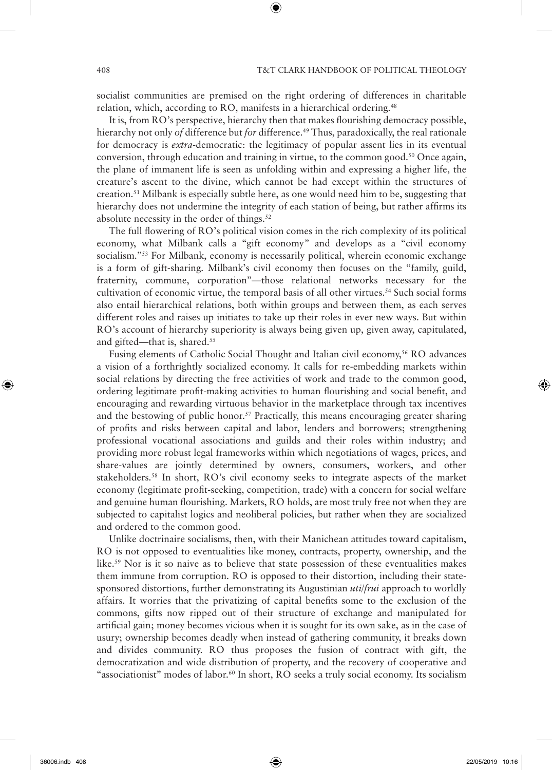socialist communities are premised on the right ordering of differences in charitable relation, which, according to RO, manifests in a hierarchical ordering.48

⊕

It is, from RO's perspective, hierarchy then that makes flourishing democracy possible, hierarchy not only *of* difference but *for* difference.49 Thus, paradoxically, the real rationale for democracy is *extra*-democratic: the legitimacy of popular assent lies in its eventual conversion, through education and training in virtue, to the common good.50 Once again, the plane of immanent life is seen as unfolding within and expressing a higher life, the creature's ascent to the divine, which cannot be had except within the structures of creation.51 Milbank is especially subtle here, as one would need him to be, suggesting that hierarchy does not undermine the integrity of each station of being, but rather affirms its absolute necessity in the order of things.<sup>52</sup>

The full flowering of RO's political vision comes in the rich complexity of its political economy, what Milbank calls a "gift economy" and develops as a "civil economy socialism."<sup>53</sup> For Milbank, economy is necessarily political, wherein economic exchange is a form of gift-sharing. Milbank's civil economy then focuses on the "family, guild, fraternity, commune, corporation"—those relational networks necessary for the cultivation of economic virtue, the temporal basis of all other virtues.<sup>54</sup> Such social forms also entail hierarchical relations, both within groups and between them, as each serves different roles and raises up initiates to take up their roles in ever new ways. But within RO's account of hierarchy superiority is always being given up, given away, capitulated, and gifted—that is, shared.<sup>55</sup>

Fusing elements of Catholic Social Thought and Italian civil economy,<sup>56</sup> RO advances a vision of a forthrightly socialized economy. It calls for re-embedding markets within social relations by directing the free activities of work and trade to the common good, ordering legitimate profit-making activities to human flourishing and social benefit, and encouraging and rewarding virtuous behavior in the marketplace through tax incentives and the bestowing of public honor.<sup>57</sup> Practically, this means encouraging greater sharing of profits and risks between capital and labor, lenders and borrowers; strengthening professional vocational associations and guilds and their roles within industry; and providing more robust legal frameworks within which negotiations of wages, prices, and share-values are jointly determined by owners, consumers, workers, and other stakeholders.58 In short, RO's civil economy seeks to integrate aspects of the market economy (legitimate profit-seeking, competition, trade) with a concern for social welfare and genuine human flourishing. Markets, RO holds, are most truly free not when they are subjected to capitalist logics and neoliberal policies, but rather when they are socialized and ordered to the common good.

Unlike doctrinaire socialisms, then, with their Manichean attitudes toward capitalism, RO is not opposed to eventualities like money, contracts, property, ownership, and the like.59 Nor is it so naive as to believe that state possession of these eventualities makes them immune from corruption. RO is opposed to their distortion, including their statesponsored distortions, further demonstrating its Augustinian *uti*/*frui* approach to worldly affairs. It worries that the privatizing of capital benefits some to the exclusion of the commons, gifts now ripped out of their structure of exchange and manipulated for artificial gain; money becomes vicious when it is sought for its own sake, as in the case of usury; ownership becomes deadly when instead of gathering community, it breaks down and divides community. RO thus proposes the fusion of contract with gift, the democratization and wide distribution of property, and the recovery of cooperative and "associationist" modes of labor.60 In short, RO seeks a truly social economy. Its socialism

⊕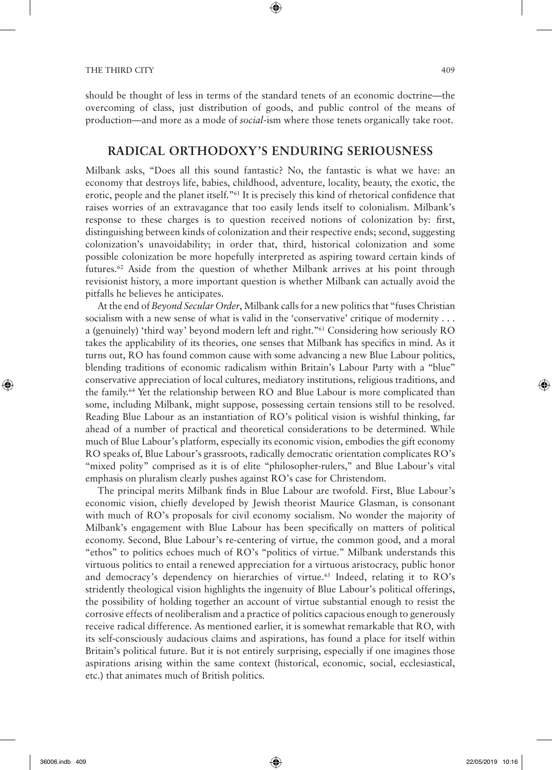⊕

# **RADICAL ORTHODOXY'S ENDURING SERIOUSNESS**

Milbank asks, "Does all this sound fantastic? No, the fantastic is what we have: an economy that destroys life, babies, childhood, adventure, locality, beauty, the exotic, the erotic, people and the planet itself."61 It is precisely this kind of rhetorical confidence that raises worries of an extravagance that too easily lends itself to colonialism. Milbank's response to these charges is to question received notions of colonization by: first, distinguishing between kinds of colonization and their respective ends; second, suggesting colonization's unavoidability; in order that, third, historical colonization and some possible colonization be more hopefully interpreted as aspiring toward certain kinds of futures.<sup>62</sup> Aside from the question of whether Milbank arrives at his point through revisionist history, a more important question is whether Milbank can actually avoid the pitfalls he believes he anticipates.

At the end of *Beyond Secular Order*, Milbank calls for a new politics that "fuses Christian socialism with a new sense of what is valid in the 'conservative' critique of modernity . . . a (genuinely) 'third way' beyond modern left and right."63 Considering how seriously RO takes the applicability of its theories, one senses that Milbank has specifics in mind. As it turns out, RO has found common cause with some advancing a new Blue Labour politics, blending traditions of economic radicalism within Britain's Labour Party with a "blue" conservative appreciation of local cultures, mediatory institutions, religious traditions, and the family.64 Yet the relationship between RO and Blue Labour is more complicated than some, including Milbank, might suppose, possessing certain tensions still to be resolved. Reading Blue Labour as an instantiation of RO's political vision is wishful thinking, far ahead of a number of practical and theoretical considerations to be determined. While much of Blue Labour's platform, especially its economic vision, embodies the gift economy RO speaks of, Blue Labour's grassroots, radically democratic orientation complicates RO's "mixed polity" comprised as it is of elite "philosopher-rulers," and Blue Labour's vital emphasis on pluralism clearly pushes against RO's case for Christendom.

The principal merits Milbank finds in Blue Labour are twofold. First, Blue Labour's economic vision, chiefly developed by Jewish theorist Maurice Glasman, is consonant with much of RO's proposals for civil economy socialism. No wonder the majority of Milbank's engagement with Blue Labour has been specifically on matters of political economy. Second, Blue Labour's re-centering of virtue, the common good, and a moral "ethos" to politics echoes much of RO's "politics of virtue." Milbank understands this virtuous politics to entail a renewed appreciation for a virtuous aristocracy, public honor and democracy's dependency on hierarchies of virtue.<sup>65</sup> Indeed, relating it to RO's stridently theological vision highlights the ingenuity of Blue Labour's political offerings, the possibility of holding together an account of virtue substantial enough to resist the corrosive effects of neoliberalism and a practice of politics capacious enough to generously receive radical difference. As mentioned earlier, it is somewhat remarkable that RO, with its self-consciously audacious claims and aspirations, has found a place for itself within Britain's political future. But it is not entirely surprising, especially if one imagines those aspirations arising within the same context (historical, economic, social, ecclesiastical, etc.) that animates much of British politics.

⊕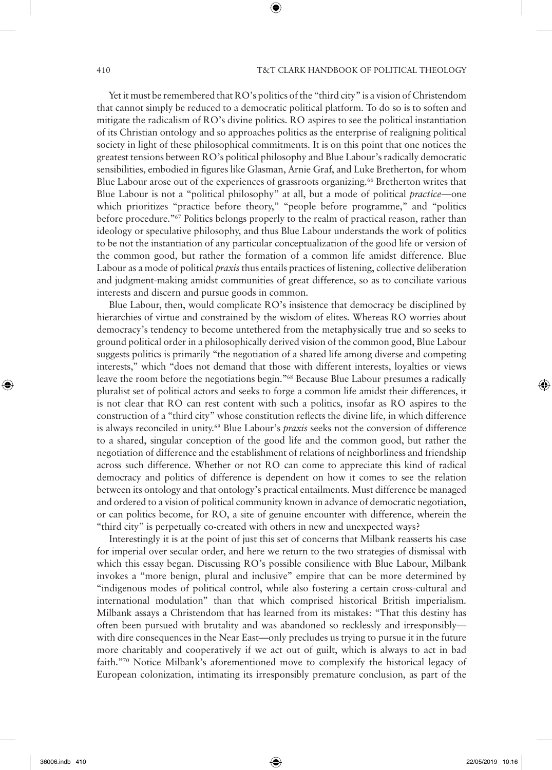Yet it must be remembered that RO's politics of the "third city" is a vision of Christendom that cannot simply be reduced to a democratic political platform. To do so is to soften and mitigate the radicalism of RO's divine politics. RO aspires to see the political instantiation of its Christian ontology and so approaches politics as the enterprise of realigning political society in light of these philosophical commitments. It is on this point that one notices the greatest tensions between RO's political philosophy and Blue Labour's radically democratic sensibilities, embodied in figures like Glasman, Arnie Graf, and Luke Bretherton, for whom Blue Labour arose out of the experiences of grassroots organizing.66 Bretherton writes that Blue Labour is not a "political philosophy" at all, but a mode of political *practice*—one which prioritizes "practice before theory," "people before programme," and "politics before procedure."67 Politics belongs properly to the realm of practical reason, rather than ideology or speculative philosophy, and thus Blue Labour understands the work of politics to be not the instantiation of any particular conceptualization of the good life or version of the common good, but rather the formation of a common life amidst difference. Blue Labour as a mode of political *praxis* thus entails practices of listening, collective deliberation and judgment-making amidst communities of great difference, so as to conciliate various interests and discern and pursue goods in common.

⊕

Blue Labour, then, would complicate RO's insistence that democracy be disciplined by hierarchies of virtue and constrained by the wisdom of elites. Whereas RO worries about democracy's tendency to become untethered from the metaphysically true and so seeks to ground political order in a philosophically derived vision of the common good, Blue Labour suggests politics is primarily "the negotiation of a shared life among diverse and competing interests," which "does not demand that those with different interests, loyalties or views leave the room before the negotiations begin."68 Because Blue Labour presumes a radically pluralist set of political actors and seeks to forge a common life amidst their differences, it is not clear that RO can rest content with such a politics, insofar as RO aspires to the construction of a "third city" whose constitution reflects the divine life, in which difference is always reconciled in unity.69 Blue Labour's *praxis* seeks not the conversion of difference to a shared, singular conception of the good life and the common good, but rather the negotiation of difference and the establishment of relations of neighborliness and friendship across such difference. Whether or not RO can come to appreciate this kind of radical democracy and politics of difference is dependent on how it comes to see the relation between its ontology and that ontology's practical entailments. Must difference be managed and ordered to a vision of political community known in advance of democratic negotiation, or can politics become, for RO, a site of genuine encounter with difference, wherein the "third city" is perpetually co-created with others in new and unexpected ways?

Interestingly it is at the point of just this set of concerns that Milbank reasserts his case for imperial over secular order, and here we return to the two strategies of dismissal with which this essay began. Discussing RO's possible consilience with Blue Labour, Milbank invokes a "more benign, plural and inclusive" empire that can be more determined by "indigenous modes of political control, while also fostering a certain cross-cultural and international modulation" than that which comprised historical British imperialism. Milbank assays a Christendom that has learned from its mistakes: "That this destiny has often been pursued with brutality and was abandoned so recklessly and irresponsibly with dire consequences in the Near East—only precludes us trying to pursue it in the future more charitably and cooperatively if we act out of guilt, which is always to act in bad faith."70 Notice Milbank's aforementioned move to complexify the historical legacy of European colonization, intimating its irresponsibly premature conclusion, as part of the

⊕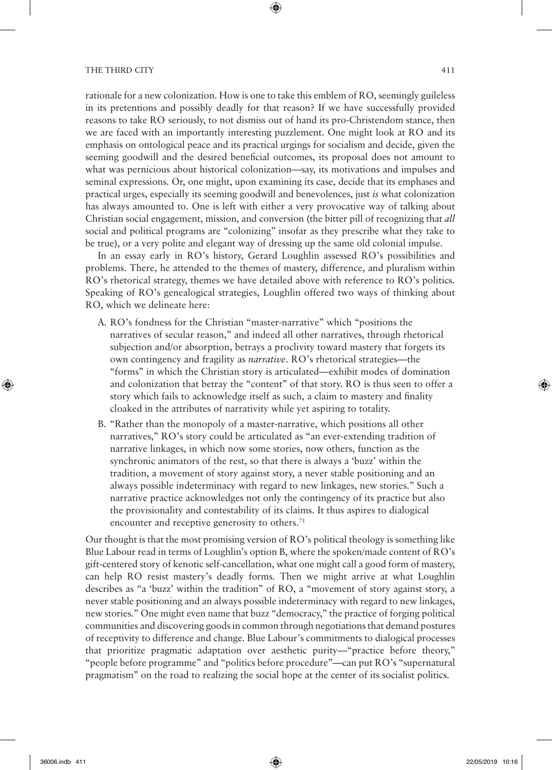rationale for a new colonization. How is one to take this emblem of RO, seemingly guileless in its pretentions and possibly deadly for that reason? If we have successfully provided reasons to take RO seriously, to not dismiss out of hand its pro-Christendom stance, then we are faced with an importantly interesting puzzlement. One might look at RO and its emphasis on ontological peace and its practical urgings for socialism and decide, given the seeming goodwill and the desired beneficial outcomes, its proposal does not amount to what was pernicious about historical colonization—say, its motivations and impulses and seminal expressions. Or, one might, upon examining its case, decide that its emphases and practical urges, especially its seeming goodwill and benevolences, just *is* what colonization has always amounted to. One is left with either a very provocative way of talking about Christian social engagement, mission, and conversion (the bitter pill of recognizing that *all* social and political programs are "colonizing" insofar as they prescribe what they take to be true), or a very polite and elegant way of dressing up the same old colonial impulse.

⊕

In an essay early in RO's history, Gerard Loughlin assessed RO's possibilities and problems. There, he attended to the themes of mastery, difference, and pluralism within RO's rhetorical strategy, themes we have detailed above with reference to RO's politics. Speaking of RO's genealogical strategies, Loughlin offered two ways of thinking about RO, which we delineate here:

- A. RO's fondness for the Christian "master-narrative" which "positions the narratives of secular reason," and indeed all other narratives, through rhetorical subjection and/or absorption, betrays a proclivity toward mastery that forgets its own contingency and fragility as *narrative*. RO's rhetorical strategies—the "forms" in which the Christian story is articulated—exhibit modes of domination and colonization that betray the "content" of that story. RO is thus seen to offer a story which fails to acknowledge itself as such, a claim to mastery and finality cloaked in the attributes of narrativity while yet aspiring to totality.
- B. "Rather than the monopoly of a master-narrative, which positions all other narratives," RO's story could be articulated as "an ever-extending tradition of narrative linkages, in which now some stories, now others, function as the synchronic animators of the rest, so that there is always a 'buzz' within the tradition, a movement of story against story, a never stable positioning and an always possible indeterminacy with regard to new linkages, new stories." Such a narrative practice acknowledges not only the contingency of its practice but also the provisionality and contestability of its claims. It thus aspires to dialogical encounter and receptive generosity to others.<sup>71</sup>

Our thought is that the most promising version of RO's political theology is something like Blue Labour read in terms of Loughlin's option B, where the spoken/made content of RO's gift-centered story of kenotic self-cancellation, what one might call a good form of mastery, can help RO resist mastery's deadly forms. Then we might arrive at what Loughlin describes as "a 'buzz' within the tradition" of RO, a "movement of story against story, a never stable positioning and an always possible indeterminacy with regard to new linkages, new stories." One might even name that buzz "democracy," the practice of forging political communities and discovering goods in common through negotiations that demand postures of receptivity to difference and change. Blue Labour's commitments to dialogical processes that prioritize pragmatic adaptation over aesthetic purity—"practice before theory," "people before programme" and "politics before procedure"—can put RO's "supernatural pragmatism" on the road to realizing the social hope at the center of its socialist politics.

↔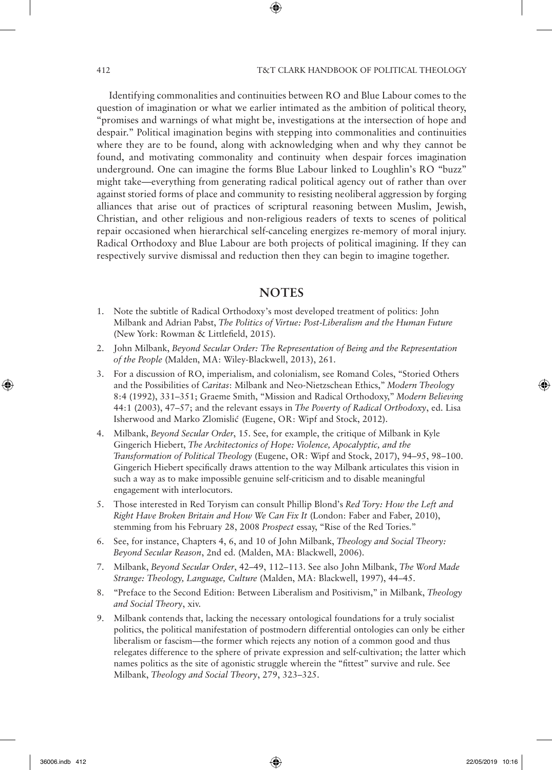Identifying commonalities and continuities between RO and Blue Labour comes to the question of imagination or what we earlier intimated as the ambition of political theory, "promises and warnings of what might be, investigations at the intersection of hope and despair." Political imagination begins with stepping into commonalities and continuities where they are to be found, along with acknowledging when and why they cannot be found, and motivating commonality and continuity when despair forces imagination underground. One can imagine the forms Blue Labour linked to Loughlin's RO "buzz" might take—everything from generating radical political agency out of rather than over against storied forms of place and community to resisting neoliberal aggression by forging alliances that arise out of practices of scriptural reasoning between Muslim, Jewish, Christian, and other religious and non-religious readers of texts to scenes of political repair occasioned when hierarchical self-canceling energizes re-memory of moral injury. Radical Orthodoxy and Blue Labour are both projects of political imagining. If they can respectively survive dismissal and reduction then they can begin to imagine together.

⊕

# **NOTES**

- 1. Note the subtitle of Radical Orthodoxy's most developed treatment of politics: John Milbank and Adrian Pabst, *The Politics of Virtue: Post-Liberalism and the Human Future* (New York: Rowman & Littlefield, 2015).
- 2. John Milbank, *Beyond Secular Order: The Representation of Being and the Representation of the People* (Malden, MA: Wiley-Blackwell, 2013), 261.
- 3. For a discussion of RO, imperialism, and colonialism, see Romand Coles, "Storied Others and the Possibilities of *Caritas*: Milbank and Neo-Nietzschean Ethics," *Modern Theology* 8:4 (1992), 331–351; Graeme Smith, "Mission and Radical Orthodoxy," *Modern Believing* 44:1 (2003), 47–57; and the relevant essays in *The Poverty of Radical Orthodoxy*, ed. Lisa Isherwood and Marko Zlomislic´ (Eugene, OR: Wipf and Stock, 2012).
- 4. Milbank, *Beyond Secular Order*, 15. See, for example, the critique of Milbank in Kyle Gingerich Hiebert, *The Architectonics of Hope: Violence, Apocalyptic, and the Transformation of Political Theology* (Eugene, OR: Wipf and Stock, 2017), 94–95, 98–100. Gingerich Hiebert specifically draws attention to the way Milbank articulates this vision in such a way as to make impossible genuine self-criticism and to disable meaningful engagement with interlocutors.
- 5. Those interested in Red Toryism can consult Phillip Blond's *Red Tory: How the Left and Right Have Broken Britain and How We Can Fix It* (London: Faber and Faber, 2010), stemming from his February 28, 2008 *Prospect* essay, "Rise of the Red Tories."
- 6. See, for instance, Chapters 4, 6, and 10 of John Milbank, *Theology and Social Theory: Beyond Secular Reason*, 2nd ed. (Malden, MA: Blackwell, 2006).
- 7. Milbank, *Beyond Secular Order*, 42–49, 112–113. See also John Milbank, *The Word Made Strange: Theology, Language, Culture* (Malden, MA: Blackwell, 1997), 44–45.
- 8. "Preface to the Second Edition: Between Liberalism and Positivism," in Milbank, *Theology and Social Theory*, xiv.
- 9. Milbank contends that, lacking the necessary ontological foundations for a truly socialist politics, the political manifestation of postmodern differential ontologies can only be either liberalism or fascism—the former which rejects any notion of a common good and thus relegates difference to the sphere of private expression and self-cultivation; the latter which names politics as the site of agonistic struggle wherein the "fittest" survive and rule. See Milbank, *Theology and Social Theory*, 279, 323–325.

↔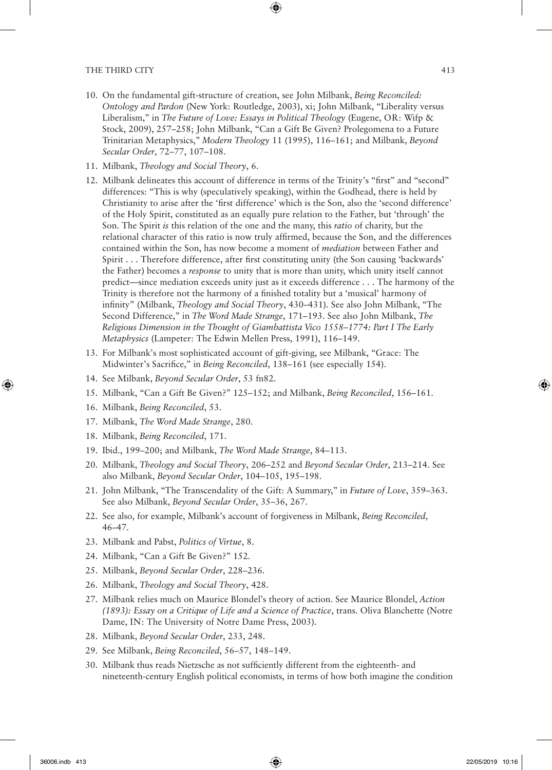10. On the fundamental gift-structure of creation, see John Milbank, *Being Reconciled: Ontology and Pardon* (New York: Routledge, 2003), xi; John Milbank, "Liberality versus Liberalism," in *The Future of Love: Essays in Political Theology* (Eugene, OR: Wifp & Stock, 2009), 257–258; John Milbank, "Can a Gift Be Given? Prolegomena to a Future Trinitarian Metaphysics," *Modern Theology* 11 (1995), 116–161; and Milbank, *Beyond Secular Order*, 72–77, 107–108.

⊕

- 11. Milbank, *Theology and Social Theory*, 6.
- 12. Milbank delineates this account of difference in terms of the Trinity's "first" and "second" differences: "This is why (speculatively speaking), within the Godhead, there is held by Christianity to arise after the 'first difference' which is the Son, also the 'second difference' of the Holy Spirit, constituted as an equally pure relation to the Father, but 'through' the Son. The Spirit *is* this relation of the one and the many, this *ratio* of charity, but the relational character of this ratio is now truly affirmed, because the Son, and the differences contained within the Son, has now become a moment of *mediation* between Father and Spirit . . . Therefore difference, after first constituting unity (the Son causing 'backwards' the Father) becomes a *response* to unity that is more than unity, which unity itself cannot predict—since mediation exceeds unity just as it exceeds difference . . . The harmony of the Trinity is therefore not the harmony of a finished totality but a 'musical' harmony of infinity" (Milbank, *Theology and Social Theory*, 430–431). See also John Milbank, "The Second Difference," in *The Word Made Strange*, 171–193. See also John Milbank, *The Religious Dimension in the Thought of Giambattista Vico 1558–1774: Part I The Early Metaphysics* (Lampeter: The Edwin Mellen Press, 1991), 116–149.
- 13. For Milbank's most sophisticated account of gift-giving, see Milbank, "Grace: The Midwinter's Sacrifice," in *Being Reconciled*, 138–161 (see especially 154).
- 14. See Milbank, *Beyond Secular Order*, 53 fn82.
- 15. Milbank, "Can a Gift Be Given?" 125–152; and Milbank, *Being Reconciled*, 156–161.
- 16. Milbank, *Being Reconciled*, 53.
- 17. Milbank, *The Word Made Strange*, 280.
- 18. Milbank, *Being Reconciled*, 171.
- 19. Ibid., 199–200; and Milbank, *The Word Made Strange*, 84–113.
- 20. Milbank, *Theology and Social Theory*, 206–252 and *Beyond Secular Order*, 213–214. See also Milbank, *Beyond Secular Order*, 104–105, 195–198.
- 21. John Milbank, "The Transcendality of the Gift: A Summary," in *Future of Love*, 359–363. See also Milbank, *Beyond Secular Order*, 35–36, 267.
- 22. See also, for example, Milbank's account of forgiveness in Milbank, *Being Reconciled*, 46–47.
- 23. Milbank and Pabst, *Politics of Virtue*, 8.
- 24. Milbank, "Can a Gift Be Given?" 152.
- 25. Milbank, *Beyond Secular Order*, 228–236.
- 26. Milbank, *Theology and Social Theory*, 428.
- 27. Milbank relies much on Maurice Blondel's theory of action. See Maurice Blondel, *Action (1893): Essay on a Critique of Life and a Science of Practice*, trans. Oliva Blanchette (Notre Dame, IN: The University of Notre Dame Press, 2003).
- 28. Milbank, *Beyond Secular Order*, 233, 248.
- 29. See Milbank, *Being Reconciled*, 56–57, 148–149.
- 30. Milbank thus reads Nietzsche as not sufficiently different from the eighteenth- and nineteenth-century English political economists, in terms of how both imagine the condition

↔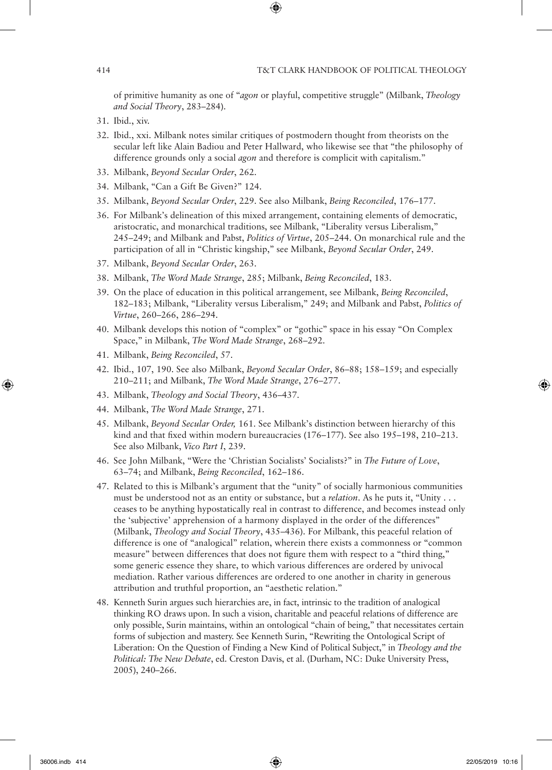of primitive humanity as one of "*agon* or playful, competitive struggle" (Milbank, *Theology and Social Theory*, 283–284).

⊕

- 31. Ibid., xiv.
- 32. Ibid., xxi. Milbank notes similar critiques of postmodern thought from theorists on the secular left like Alain Badiou and Peter Hallward, who likewise see that "the philosophy of difference grounds only a social *agon* and therefore is complicit with capitalism."
- 33. Milbank, *Beyond Secular Order*, 262.
- 34. Milbank, "Can a Gift Be Given?" 124.
- 35. Milbank, *Beyond Secular Order*, 229. See also Milbank, *Being Reconciled*, 176–177.
- 36. For Milbank's delineation of this mixed arrangement, containing elements of democratic, aristocratic, and monarchical traditions, see Milbank, "Liberality versus Liberalism," 245–249; and Milbank and Pabst, *Politics of Virtue*, 205–244. On monarchical rule and the participation of all in "Christic kingship," see Milbank, *Beyond Secular Order*, 249.
- 37. Milbank, *Beyond Secular Order*, 263.
- 38. Milbank, *The Word Made Strange*, 285; Milbank, *Being Reconciled*, 183.
- 39. On the place of education in this political arrangement, see Milbank, *Being Reconciled*, 182–183; Milbank, "Liberality versus Liberalism," 249; and Milbank and Pabst, *Politics of Virtue*, 260–266, 286–294.
- 40. Milbank develops this notion of "complex" or "gothic" space in his essay "On Complex Space," in Milbank, *The Word Made Strange*, 268–292.
- 41. Milbank, *Being Reconciled*, 57.
- 42. Ibid., 107, 190. See also Milbank, *Beyond Secular Order*, 86–88; 158–159; and especially 210–211; and Milbank, *The Word Made Strange*, 276–277.
- 43. Milbank, *Theology and Social Theory*, 436–437.
- 44. Milbank, *The Word Made Strange*, 271.
- 45. Milbank, *Beyond Secular Order,* 161. See Milbank's distinction between hierarchy of this kind and that fixed within modern bureaucracies (176–177). See also 195–198, 210–213. See also Milbank, *Vico Part I*, 239.
- 46. See John Milbank, "Were the 'Christian Socialists' Socialists?" in *The Future of Love*, 63–74; and Milbank, *Being Reconciled*, 162–186.
- 47. Related to this is Milbank's argument that the "unity" of socially harmonious communities must be understood not as an entity or substance, but a *relation*. As he puts it, "Unity . . . ceases to be anything hypostatically real in contrast to difference, and becomes instead only the 'subjective' apprehension of a harmony displayed in the order of the differences" (Milbank, *Theology and Social Theory*, 435–436). For Milbank, this peaceful relation of difference is one of "analogical" relation, wherein there exists a commonness or "common measure" between differences that does not figure them with respect to a "third thing," some generic essence they share, to which various differences are ordered by univocal mediation. Rather various differences are ordered to one another in charity in generous attribution and truthful proportion, an "aesthetic relation."
- 48. Kenneth Surin argues such hierarchies are, in fact, intrinsic to the tradition of analogical thinking RO draws upon. In such a vision, charitable and peaceful relations of difference are only possible, Surin maintains, within an ontological "chain of being," that necessitates certain forms of subjection and mastery. See Kenneth Surin, "Rewriting the Ontological Script of Liberation: On the Question of Finding a New Kind of Political Subject," in *Theology and the Political: The New Debate*, ed. Creston Davis, et al. (Durham, NC: Duke University Press, 2005), 240–266.

↔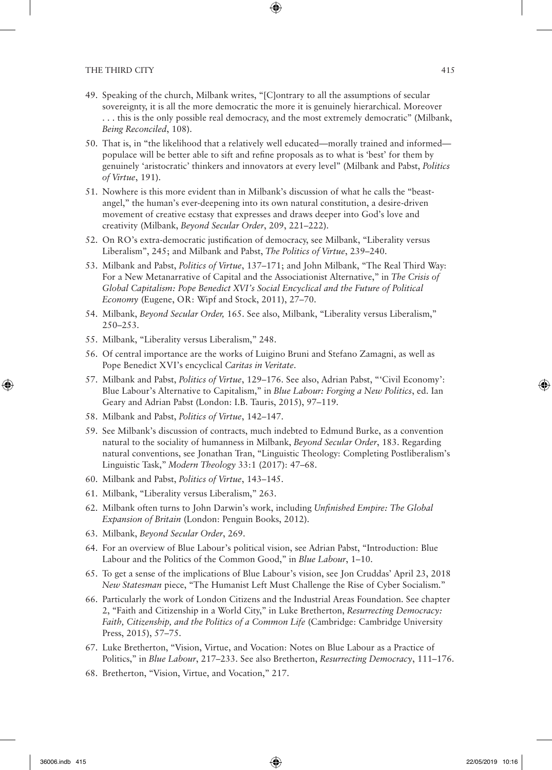↔

49. Speaking of the church, Milbank writes, "[C]ontrary to all the assumptions of secular sovereignty, it is all the more democratic the more it is genuinely hierarchical. Moreover . . . this is the only possible real democracy, and the most extremely democratic" (Milbank, *Being Reconciled*, 108).

⊕

- 50. That is, in "the likelihood that a relatively well educated—morally trained and informed populace will be better able to sift and refine proposals as to what is 'best' for them by genuinely 'aristocratic' thinkers and innovators at every level" (Milbank and Pabst, *Politics of Virtue*, 191).
- 51. Nowhere is this more evident than in Milbank's discussion of what he calls the "beastangel," the human's ever-deepening into its own natural constitution, a desire-driven movement of creative ecstasy that expresses and draws deeper into God's love and creativity (Milbank, *Beyond Secular Order*, 209, 221–222).
- 52. On RO's extra-democratic justification of democracy, see Milbank, "Liberality versus Liberalism", 245; and Milbank and Pabst, *The Politics of Virtue*, 239–240.
- 53. Milbank and Pabst, *Politics of Virtue*, 137–171; and John Milbank, "The Real Third Way: For a New Metanarrative of Capital and the Associationist Alternative," in *The Crisis of Global Capitalism: Pope Benedict XVI's Social Encyclical and the Future of Political Economy* (Eugene, OR: Wipf and Stock, 2011), 27–70.
- 54. Milbank, *Beyond Secular Order,* 165. See also, Milbank, "Liberality versus Liberalism," 250–253.
- 55. Milbank, "Liberality versus Liberalism," 248.
- 56. Of central importance are the works of Luigino Bruni and Stefano Zamagni, as well as Pope Benedict XVI's encyclical *Caritas in Veritate*.
- 57. Milbank and Pabst, *Politics of Virtue*, 129–176. See also, Adrian Pabst, "'Civil Economy': Blue Labour's Alternative to Capitalism," in *Blue Labour: Forging a New Politics*, ed. Ian Geary and Adrian Pabst (London: I.B. Tauris, 2015), 97–119.
- 58. Milbank and Pabst, *Politics of Virtue*, 142–147.
- 59. See Milbank's discussion of contracts, much indebted to Edmund Burke, as a convention natural to the sociality of humanness in Milbank, *Beyond Secular Order*, 183. Regarding natural conventions, see Jonathan Tran, "Linguistic Theology: Completing Postliberalism's Linguistic Task," *Modern Theology* 33:1 (2017): 47–68.
- 60. Milbank and Pabst, *Politics of Virtue*, 143–145.
- 61. Milbank, "Liberality versus Liberalism," 263.
- 62. Milbank often turns to John Darwin's work, including *Unfinished Empire: The Global Expansion of Britain* (London: Penguin Books, 2012).
- 63. Milbank, *Beyond Secular Order*, 269.
- 64. For an overview of Blue Labour's political vision, see Adrian Pabst, "Introduction: Blue Labour and the Politics of the Common Good," in *Blue Labour*, 1–10.
- 65. To get a sense of the implications of Blue Labour's vision, see Jon Cruddas' April 23, 2018 *New Statesman* piece, "The Humanist Left Must Challenge the Rise of Cyber Socialism."
- 66. Particularly the work of London Citizens and the Industrial Areas Foundation. See chapter 2, "Faith and Citizenship in a World City," in Luke Bretherton, *Resurrecting Democracy: Faith, Citizenship, and the Politics of a Common Life* (Cambridge: Cambridge University Press, 2015), 57–75.
- 67. Luke Bretherton, "Vision, Virtue, and Vocation: Notes on Blue Labour as a Practice of Politics," in *Blue Labour*, 217–233. See also Bretherton, *Resurrecting Democracy*, 111–176.
- 68. Bretherton, "Vision, Virtue, and Vocation," 217.